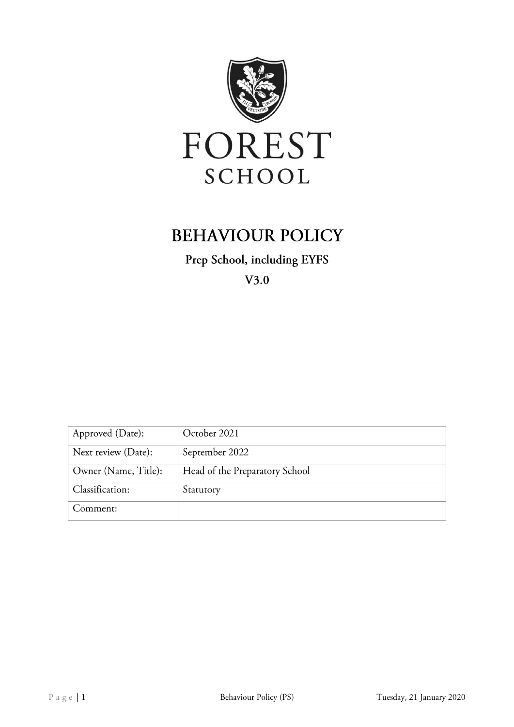

# **BEHAVIOUR POLICY**

Prep School, including EYFS

 $V3.0$ 

| Approved (Date):     | October 2021                   |
|----------------------|--------------------------------|
| Next review (Date):  | September 2022                 |
| Owner (Name, Title): | Head of the Preparatory School |
| Classification:      | Statutory                      |
| Comment:             |                                |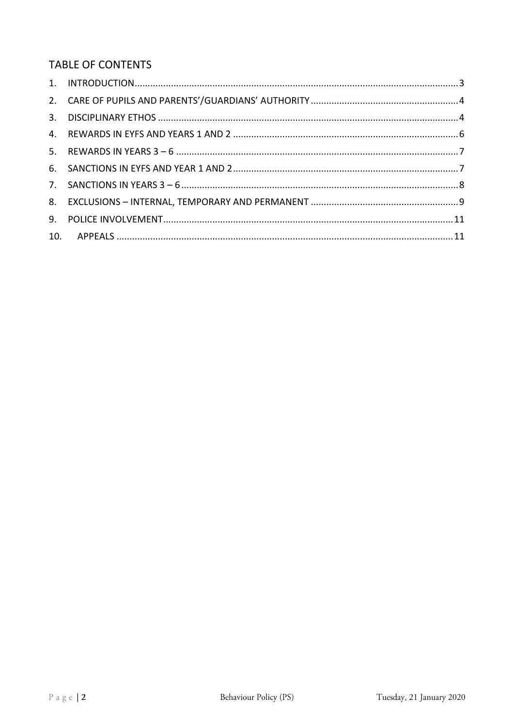## TABLE OF CONTENTS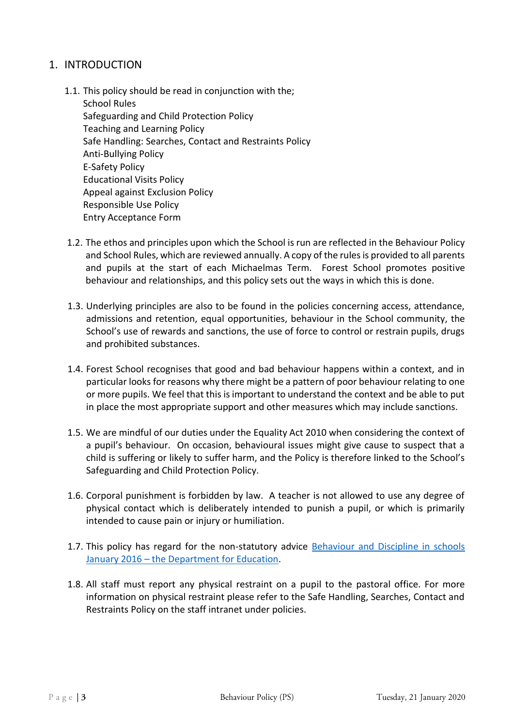## <span id="page-2-0"></span>1. INTRODUCTION

1.1. This policy should be read in conjunction with the;

School Rules Safeguarding and Child Protection Policy Teaching and Learning Policy Safe Handling: Searches, Contact and Restraints Policy Anti-Bullying Policy E-Safety Policy Educational Visits Policy Appeal against Exclusion Policy Responsible Use Policy Entry Acceptance Form

- 1.2. The ethos and principles upon which the School is run are reflected in the Behaviour Policy and School Rules, which are reviewed annually. A copy of the rules is provided to all parents and pupils at the start of each Michaelmas Term. Forest School promotes positive behaviour and relationships, and this policy sets out the ways in which this is done.
- 1.3. Underlying principles are also to be found in the policies concerning access, attendance, admissions and retention, equal opportunities, behaviour in the School community, the School's use of rewards and sanctions, the use of force to control or restrain pupils, drugs and prohibited substances.
- 1.4. Forest School recognises that good and bad behaviour happens within a context, and in particular looks for reasons why there might be a pattern of poor behaviour relating to one or more pupils. We feel that this is important to understand the context and be able to put in place the most appropriate support and other measures which may include sanctions.
- 1.5. We are mindful of our duties under the Equality Act 2010 when considering the context of a pupil's behaviour. On occasion, behavioural issues might give cause to suspect that a child is suffering or likely to suffer harm, and the Policy is therefore linked to the School's Safeguarding and Child Protection Policy.
- 1.6. Corporal punishment is forbidden by law. A teacher is not allowed to use any degree of physical contact which is deliberately intended to punish a pupil, or which is primarily intended to cause pain or injury or humiliation.
- 1.7. This policy has regard for the non-statutory advice Behaviour and Discipline in schools January 2016 – [the Department for Education.](https://www.gov.uk/government/publications/behaviour-and-discipline-in-schools)
- 1.8. All staff must report any physical restraint on a pupil to the pastoral office. For more information on physical restraint please refer to the Safe Handling, Searches, Contact and Restraints Policy on the staff intranet under policies.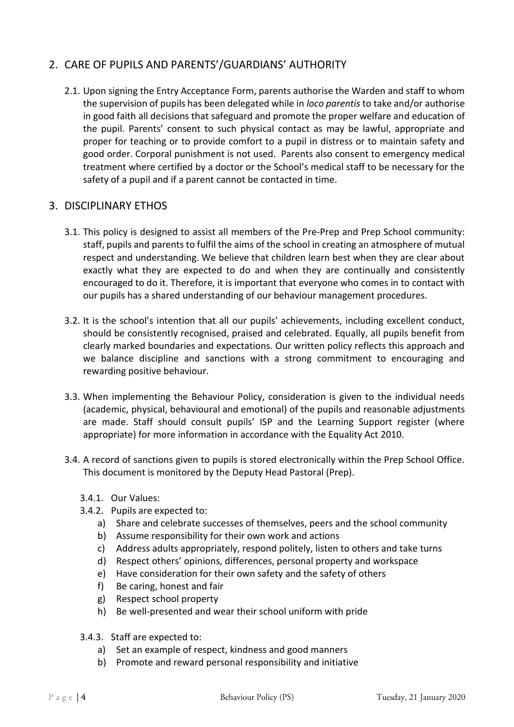## <span id="page-3-0"></span>2. CARE OF PUPILS AND PARENTS'/GUARDIANS' AUTHORITY

2.1. Upon signing the Entry Acceptance Form, parents authorise the Warden and staff to whom the supervision of pupils has been delegated while in *loco parentis* to take and/or authorise in good faith all decisions that safeguard and promote the proper welfare and education of the pupil. Parents' consent to such physical contact as may be lawful, appropriate and proper for teaching or to provide comfort to a pupil in distress or to maintain safety and good order. Corporal punishment is not used. Parents also consent to emergency medical treatment where certified by a doctor or the School's medical staff to be necessary for the safety of a pupil and if a parent cannot be contacted in time.

## <span id="page-3-1"></span>3. DISCIPLINARY ETHOS

- 3.1. This policy is designed to assist all members of the Pre-Prep and Prep School community: staff, pupils and parents to fulfil the aims of the school in creating an atmosphere of mutual respect and understanding. We believe that children learn best when they are clear about exactly what they are expected to do and when they are continually and consistently encouraged to do it. Therefore, it is important that everyone who comes in to contact with our pupils has a shared understanding of our behaviour management procedures.
- 3.2. It is the school's intention that all our pupils' achievements, including excellent conduct, should be consistently recognised, praised and celebrated. Equally, all pupils benefit from clearly marked boundaries and expectations. Our written policy reflects this approach and we balance discipline and sanctions with a strong commitment to encouraging and rewarding positive behaviour.
- 3.3. When implementing the Behaviour Policy, consideration is given to the individual needs (academic, physical, behavioural and emotional) of the pupils and reasonable adjustments are made. Staff should consult pupils' ISP and the Learning Support register (where appropriate) for more information in accordance with the Equality Act 2010.
- 3.4. A record of sanctions given to pupils is stored electronically within the Prep School Office. This document is monitored by the Deputy Head Pastoral (Prep).
	- 3.4.1. Our Values:
	- 3.4.2. Pupils are expected to:
		- a) Share and celebrate successes of themselves, peers and the school community
		- b) Assume responsibility for their own work and actions
		- c) Address adults appropriately, respond politely, listen to others and take turns
		- d) Respect others' opinions, differences, personal property and workspace
		- e) Have consideration for their own safety and the safety of others
		- f) Be caring, honest and fair
		- g) Respect school property
		- h) Be well-presented and wear their school uniform with pride
	- 3.4.3. Staff are expected to:
		- a) Set an example of respect, kindness and good manners
		- b) Promote and reward personal responsibility and initiative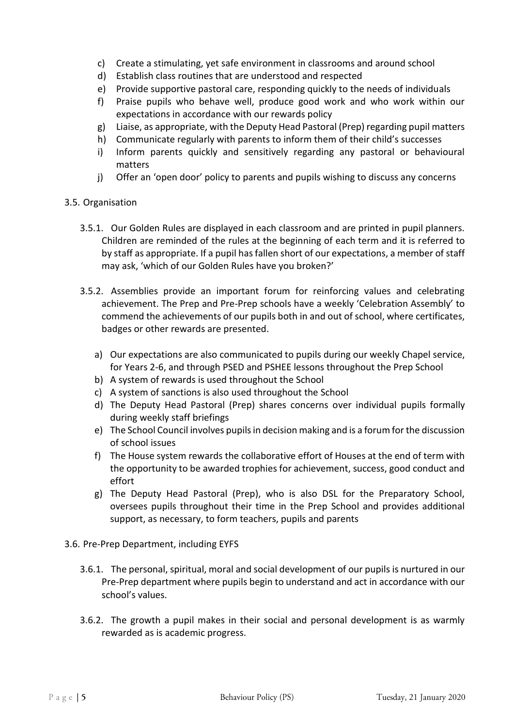- c) Create a stimulating, yet safe environment in classrooms and around school
- d) Establish class routines that are understood and respected
- e) Provide supportive pastoral care, responding quickly to the needs of individuals
- f) Praise pupils who behave well, produce good work and who work within our expectations in accordance with our rewards policy
- g) Liaise, as appropriate, with the Deputy Head Pastoral (Prep) regarding pupil matters
- h) Communicate regularly with parents to inform them of their child's successes
- i) Inform parents quickly and sensitively regarding any pastoral or behavioural matters
- j) Offer an 'open door' policy to parents and pupils wishing to discuss any concerns

#### 3.5. Organisation

- 3.5.1. Our Golden Rules are displayed in each classroom and are printed in pupil planners. Children are reminded of the rules at the beginning of each term and it is referred to by staff as appropriate. If a pupil has fallen short of our expectations, a member of staff may ask, 'which of our Golden Rules have you broken?'
- 3.5.2. Assemblies provide an important forum for reinforcing values and celebrating achievement. The Prep and Pre-Prep schools have a weekly 'Celebration Assembly' to commend the achievements of our pupils both in and out of school, where certificates, badges or other rewards are presented.
	- a) Our expectations are also communicated to pupils during our weekly Chapel service, for Years 2-6, and through PSED and PSHEE lessons throughout the Prep School
	- b) A system of rewards is used throughout the School
	- c) A system of sanctions is also used throughout the School
	- d) The Deputy Head Pastoral (Prep) shares concerns over individual pupils formally during weekly staff briefings
	- e) The School Council involves pupils in decision making and is a forum for the discussion of school issues
	- f) The House system rewards the collaborative effort of Houses at the end of term with the opportunity to be awarded trophies for achievement, success, good conduct and effort
	- g) The Deputy Head Pastoral (Prep), who is also DSL for the Preparatory School, oversees pupils throughout their time in the Prep School and provides additional support, as necessary, to form teachers, pupils and parents
- 3.6. Pre-Prep Department, including EYFS
	- 3.6.1. The personal, spiritual, moral and social development of our pupils is nurtured in our Pre-Prep department where pupils begin to understand and act in accordance with our school's values.
	- 3.6.2. The growth a pupil makes in their social and personal development is as warmly rewarded as is academic progress.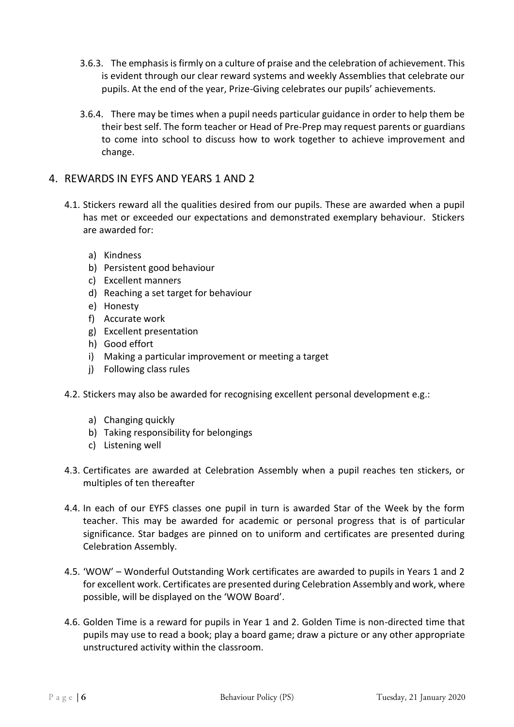- 3.6.3. The emphasis is firmly on a culture of praise and the celebration of achievement. This is evident through our clear reward systems and weekly Assemblies that celebrate our pupils. At the end of the year, Prize-Giving celebrates our pupils' achievements.
- 3.6.4. There may be times when a pupil needs particular guidance in order to help them be their best self. The form teacher or Head of Pre-Prep may request parents or guardians to come into school to discuss how to work together to achieve improvement and change.

#### <span id="page-5-0"></span>4. REWARDS IN EYFS AND YEARS 1 AND 2

- 4.1. Stickers reward all the qualities desired from our pupils. These are awarded when a pupil has met or exceeded our expectations and demonstrated exemplary behaviour. Stickers are awarded for:
	- a) Kindness
	- b) Persistent good behaviour
	- c) Excellent manners
	- d) Reaching a set target for behaviour
	- e) Honesty
	- f) Accurate work
	- g) Excellent presentation
	- h) Good effort
	- i) Making a particular improvement or meeting a target
	- j) Following class rules
- 4.2. Stickers may also be awarded for recognising excellent personal development e.g.:
	- a) Changing quickly
	- b) Taking responsibility for belongings
	- c) Listening well
- 4.3. Certificates are awarded at Celebration Assembly when a pupil reaches ten stickers, or multiples of ten thereafter
- 4.4. In each of our EYFS classes one pupil in turn is awarded Star of the Week by the form teacher. This may be awarded for academic or personal progress that is of particular significance. Star badges are pinned on to uniform and certificates are presented during Celebration Assembly.
- 4.5. 'WOW' Wonderful Outstanding Work certificates are awarded to pupils in Years 1 and 2 for excellent work. Certificates are presented during Celebration Assembly and work, where possible, will be displayed on the 'WOW Board'.
- 4.6. Golden Time is a reward for pupils in Year 1 and 2. Golden Time is non-directed time that pupils may use to read a book; play a board game; draw a picture or any other appropriate unstructured activity within the classroom.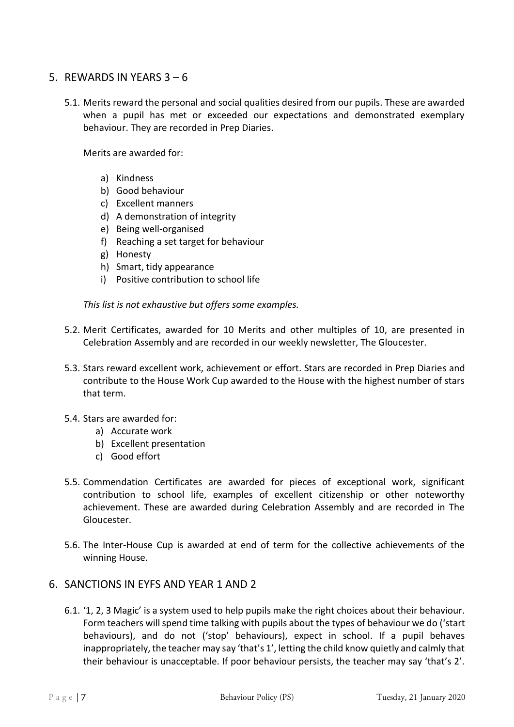## <span id="page-6-0"></span>5. REWARDS IN YEARS  $3 - 6$

5.1. Merits reward the personal and social qualities desired from our pupils. These are awarded when a pupil has met or exceeded our expectations and demonstrated exemplary behaviour. They are recorded in Prep Diaries.

Merits are awarded for:

- a) Kindness
- b) Good behaviour
- c) Excellent manners
- d) A demonstration of integrity
- e) Being well-organised
- f) Reaching a set target for behaviour
- g) Honesty
- h) Smart, tidy appearance
- i) Positive contribution to school life

*This list is not exhaustive but offers some examples.* 

- 5.2. Merit Certificates, awarded for 10 Merits and other multiples of 10, are presented in Celebration Assembly and are recorded in our weekly newsletter, The Gloucester.
- 5.3. Stars reward excellent work, achievement or effort. Stars are recorded in Prep Diaries and contribute to the House Work Cup awarded to the House with the highest number of stars that term.
- 5.4. Stars are awarded for:
	- a) Accurate work
	- b) Excellent presentation
	- c) Good effort
- 5.5. Commendation Certificates are awarded for pieces of exceptional work, significant contribution to school life, examples of excellent citizenship or other noteworthy achievement. These are awarded during Celebration Assembly and are recorded in The Gloucester.
- 5.6. The Inter-House Cup is awarded at end of term for the collective achievements of the winning House.

#### <span id="page-6-1"></span>6. SANCTIONS IN EYFS AND YEAR 1 AND 2

6.1. '1, 2, 3 Magic' is a system used to help pupils make the right choices about their behaviour. Form teachers will spend time talking with pupils about the types of behaviour we do ('start behaviours), and do not ('stop' behaviours), expect in school. If a pupil behaves inappropriately, the teacher may say 'that's 1', letting the child know quietly and calmly that their behaviour is unacceptable. If poor behaviour persists, the teacher may say 'that's 2'.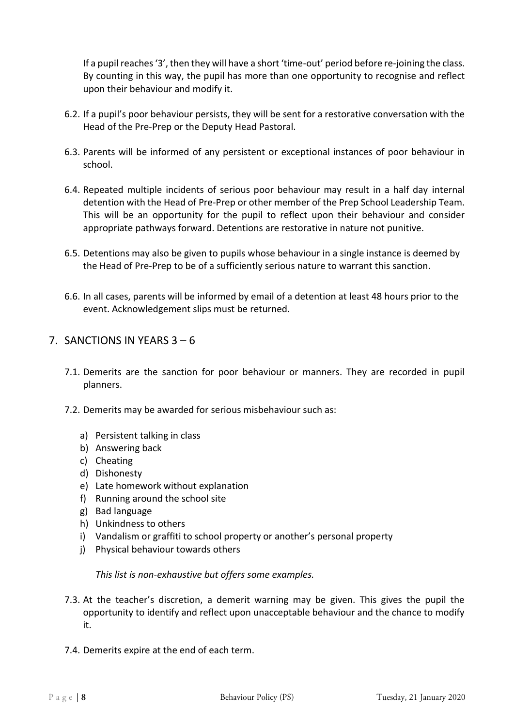If a pupil reaches '3', then they will have a short 'time-out' period before re-joining the class. By counting in this way, the pupil has more than one opportunity to recognise and reflect upon their behaviour and modify it.

- 6.2. If a pupil's poor behaviour persists, they will be sent for a restorative conversation with the Head of the Pre-Prep or the Deputy Head Pastoral.
- 6.3. Parents will be informed of any persistent or exceptional instances of poor behaviour in school.
- 6.4. Repeated multiple incidents of serious poor behaviour may result in a half day internal detention with the Head of Pre-Prep or other member of the Prep School Leadership Team. This will be an opportunity for the pupil to reflect upon their behaviour and consider appropriate pathways forward. Detentions are restorative in nature not punitive.
- 6.5. Detentions may also be given to pupils whose behaviour in a single instance is deemed by the Head of Pre-Prep to be of a sufficiently serious nature to warrant this sanction.
- 6.6. In all cases, parents will be informed by email of a detention at least 48 hours prior to the event. Acknowledgement slips must be returned.

## <span id="page-7-0"></span>7. SANCTIONS IN YEARS 3 – 6

- 7.1. Demerits are the sanction for poor behaviour or manners. They are recorded in pupil planners.
- 7.2. Demerits may be awarded for serious misbehaviour such as:
	- a) Persistent talking in class
	- b) Answering back
	- c) Cheating
	- d) Dishonesty
	- e) Late homework without explanation
	- f) Running around the school site
	- g) Bad language
	- h) Unkindness to others
	- i) Vandalism or graffiti to school property or another's personal property
	- j) Physical behaviour towards others

*This list is non-exhaustive but offers some examples.* 

- 7.3. At the teacher's discretion, a demerit warning may be given. This gives the pupil the opportunity to identify and reflect upon unacceptable behaviour and the chance to modify it.
- 7.4. Demerits expire at the end of each term.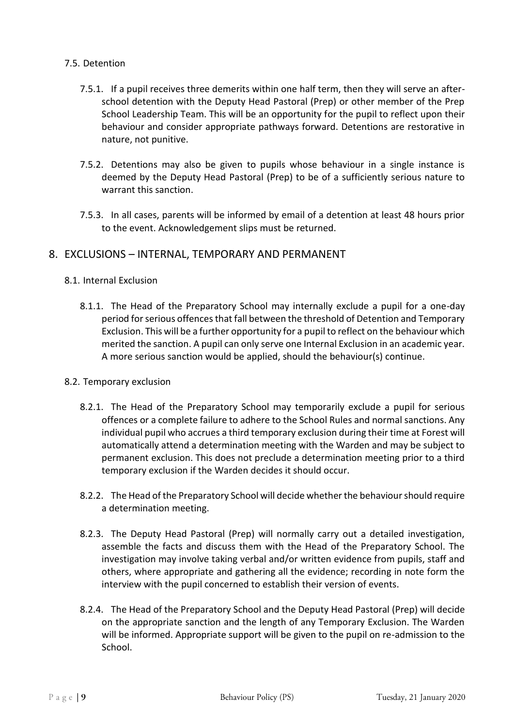#### 7.5. Detention

- 7.5.1. If a pupil receives three demerits within one half term, then they will serve an afterschool detention with the Deputy Head Pastoral (Prep) or other member of the Prep School Leadership Team. This will be an opportunity for the pupil to reflect upon their behaviour and consider appropriate pathways forward. Detentions are restorative in nature, not punitive.
- 7.5.2. Detentions may also be given to pupils whose behaviour in a single instance is deemed by the Deputy Head Pastoral (Prep) to be of a sufficiently serious nature to warrant this sanction.
- 7.5.3. In all cases, parents will be informed by email of a detention at least 48 hours prior to the event. Acknowledgement slips must be returned.

#### <span id="page-8-0"></span>8. EXCLUSIONS – INTERNAL, TEMPORARY AND PERMANENT

#### 8.1. Internal Exclusion

8.1.1. The Head of the Preparatory School may internally exclude a pupil for a one-day period for serious offences that fall between the threshold of Detention and Temporary Exclusion. This will be a further opportunity for a pupil to reflect on the behaviour which merited the sanction. A pupil can only serve one Internal Exclusion in an academic year. A more serious sanction would be applied, should the behaviour(s) continue.

#### 8.2. Temporary exclusion

- 8.2.1. The Head of the Preparatory School may temporarily exclude a pupil for serious offences or a complete failure to adhere to the School Rules and normal sanctions. Any individual pupil who accrues a third temporary exclusion during their time at Forest will automatically attend a determination meeting with the Warden and may be subject to permanent exclusion. This does not preclude a determination meeting prior to a third temporary exclusion if the Warden decides it should occur.
- 8.2.2. The Head of the Preparatory School will decide whether the behaviour should require a determination meeting.
- 8.2.3. The Deputy Head Pastoral (Prep) will normally carry out a detailed investigation, assemble the facts and discuss them with the Head of the Preparatory School. The investigation may involve taking verbal and/or written evidence from pupils, staff and others, where appropriate and gathering all the evidence; recording in note form the interview with the pupil concerned to establish their version of events.
- 8.2.4. The Head of the Preparatory School and the Deputy Head Pastoral (Prep) will decide on the appropriate sanction and the length of any Temporary Exclusion. The Warden will be informed. Appropriate support will be given to the pupil on re-admission to the School.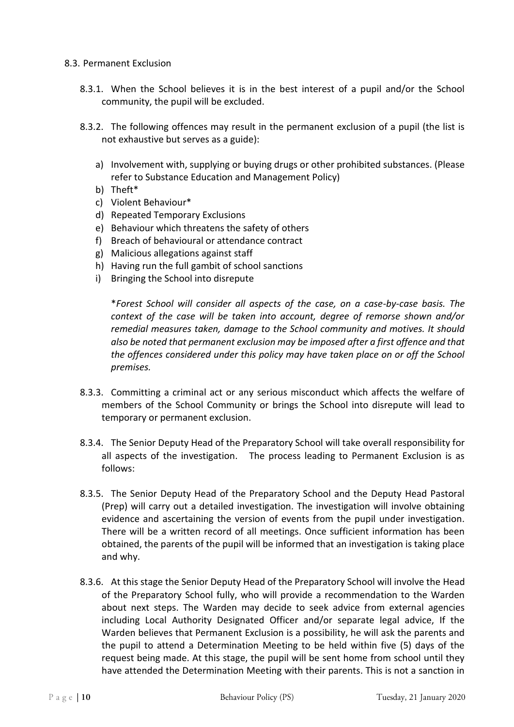#### 8.3. Permanent Exclusion

- 8.3.1. When the School believes it is in the best interest of a pupil and/or the School community, the pupil will be excluded.
- 8.3.2. The following offences may result in the permanent exclusion of a pupil (the list is not exhaustive but serves as a guide):
	- a) Involvement with, supplying or buying drugs or other prohibited substances. (Please refer to Substance Education and Management Policy)
	- b) Theft\*
	- c) Violent Behaviour\*
	- d) Repeated Temporary Exclusions
	- e) Behaviour which threatens the safety of others
	- f) Breach of behavioural or attendance contract
	- g) Malicious allegations against staff
	- h) Having run the full gambit of school sanctions
	- i) Bringing the School into disrepute

\**Forest School will consider all aspects of the case, on a case-by-case basis. The context of the case will be taken into account, degree of remorse shown and/or remedial measures taken, damage to the School community and motives. It should also be noted that permanent exclusion may be imposed after a first offence and that the offences considered under this policy may have taken place on or off the School premises.*

- 8.3.3. Committing a criminal act or any serious misconduct which affects the welfare of members of the School Community or brings the School into disrepute will lead to temporary or permanent exclusion.
- 8.3.4. The Senior Deputy Head of the Preparatory School will take overall responsibility for all aspects of the investigation. The process leading to Permanent Exclusion is as follows:
- 8.3.5. The Senior Deputy Head of the Preparatory School and the Deputy Head Pastoral (Prep) will carry out a detailed investigation. The investigation will involve obtaining evidence and ascertaining the version of events from the pupil under investigation. There will be a written record of all meetings. Once sufficient information has been obtained, the parents of the pupil will be informed that an investigation is taking place and why.
- 8.3.6. At this stage the Senior Deputy Head of the Preparatory School will involve the Head of the Preparatory School fully, who will provide a recommendation to the Warden about next steps. The Warden may decide to seek advice from external agencies including Local Authority Designated Officer and/or separate legal advice, If the Warden believes that Permanent Exclusion is a possibility, he will ask the parents and the pupil to attend a Determination Meeting to be held within five (5) days of the request being made. At this stage, the pupil will be sent home from school until they have attended the Determination Meeting with their parents. This is not a sanction in